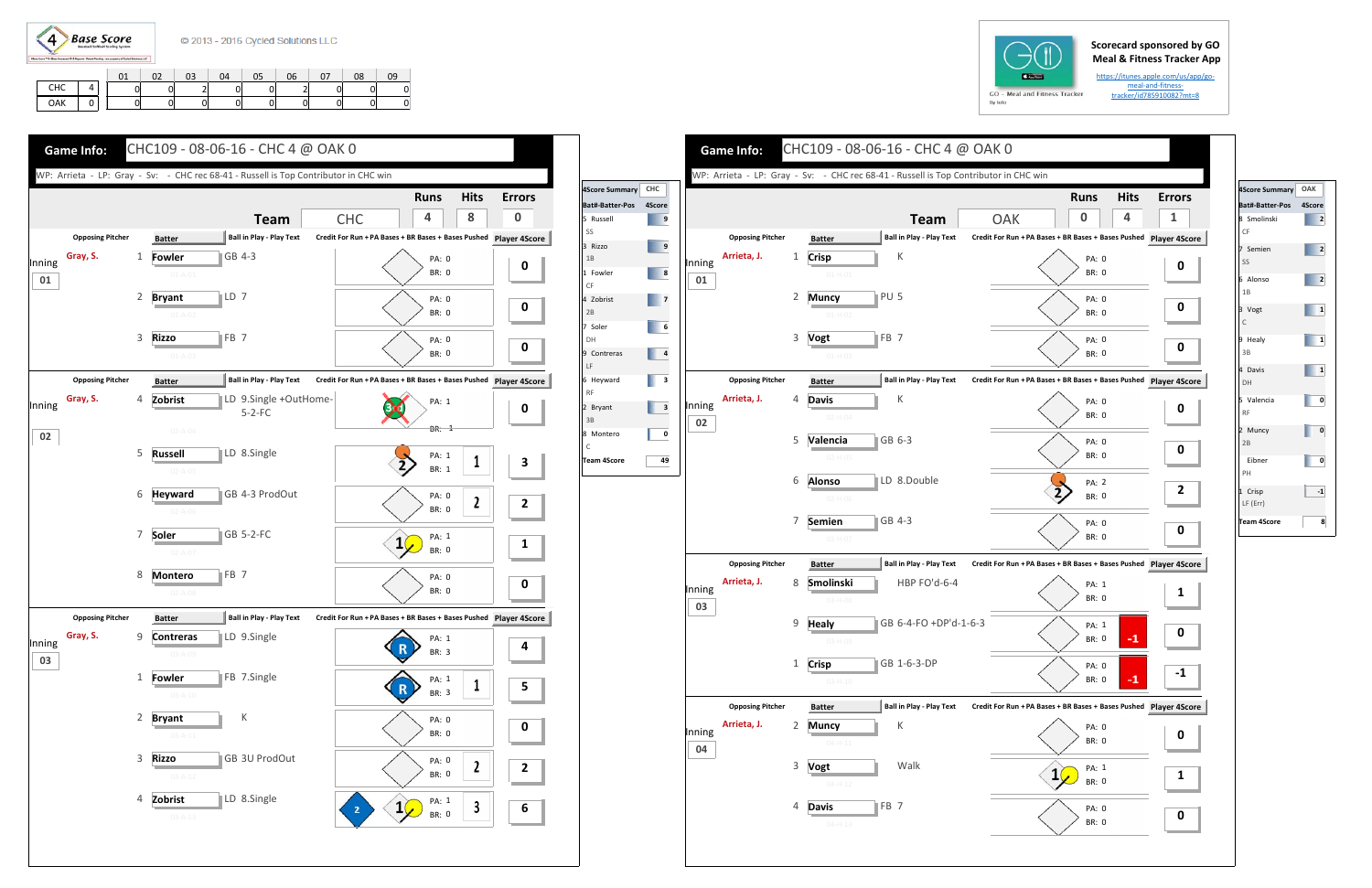$\left( 4\right)$ **Base Score** 

## **Scorecard sponsored by GO Meal & Fitness Tracker App**

https://itunes.apple.com/us/app/go‐ meal-and-fitnesstracker/id785910082?mt=8

|     |   | 02 | 03 | 04 | 05 | 06 | 07 | 08 | 09 |
|-----|---|----|----|----|----|----|----|----|----|
| CHC | 0 |    | ∽  |    |    |    |    |    |    |
| OAK | 0 |    |    | O  |    |    |    |    |    |





| 4Score Summary          | OAK          |
|-------------------------|--------------|
| Bat#-Batter-Pos 4Score  |              |
| 8 Smolinski<br>CF       | 2            |
| 7 Semien<br>SS          | 2            |
| 6 Alonso<br>1B          | 2            |
| 3 Vogt<br>C             | $\mathbf{1}$ |
| 9 Healy<br>3B           | 1            |
| 4 Davis<br>DH           | 1            |
| 5 Valencia<br><b>RF</b> | 0            |
| 2 Muncy<br>2B           | 0            |
| Eibner<br>PH            | 0            |
| 1 Crisp<br>LF (Err)     | $-1$         |
| <b>Team 4Score</b>      | 8            |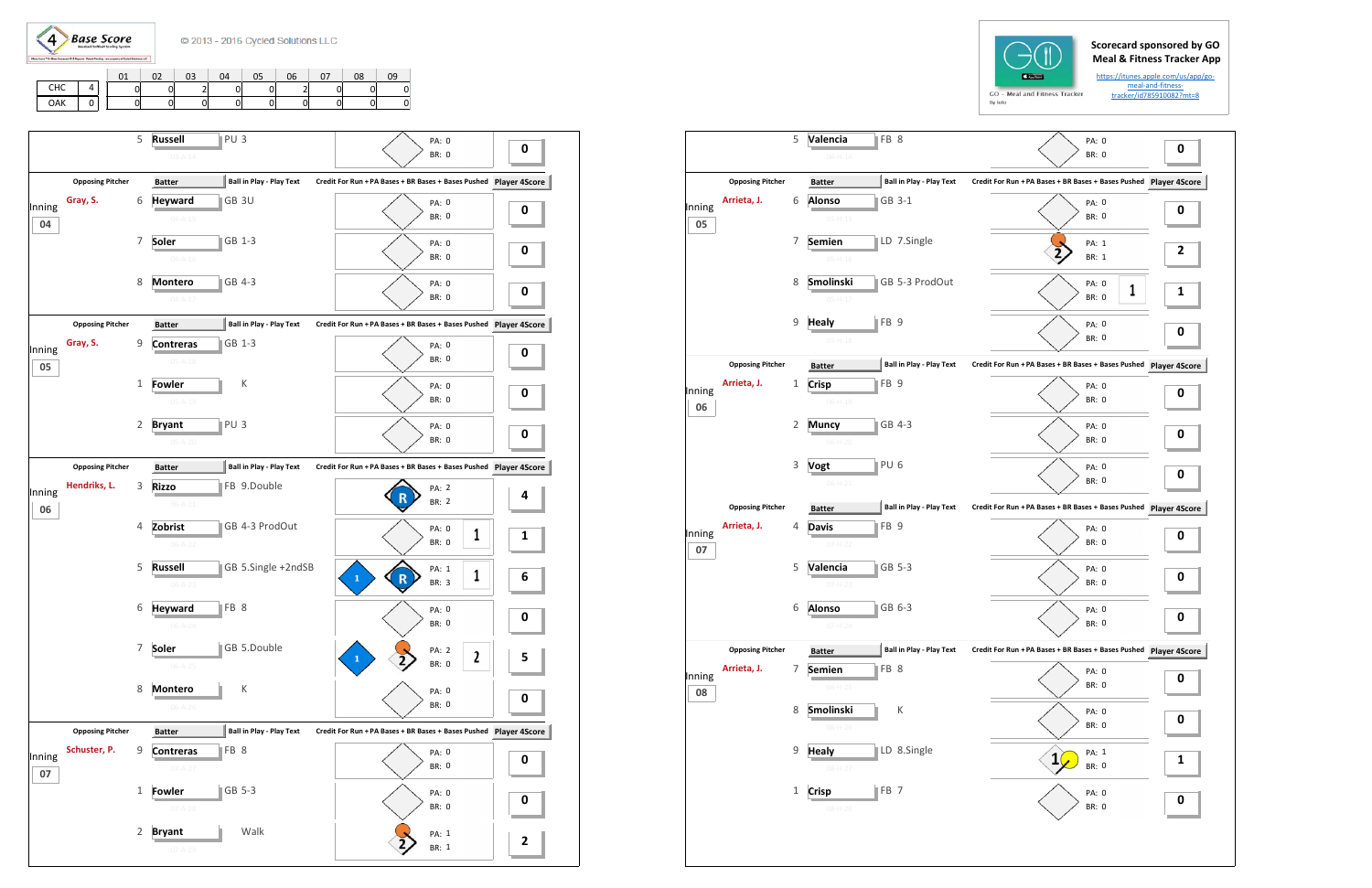

|     |   | 03 | 04 |   | 06 | 07 | 08 |   |
|-----|---|----|----|---|----|----|----|---|
| CHC | 0 | -  |    |   |    |    | 01 | 0 |
| OAK | 0 | 0  | 01 | 0 | ັ  |    | 01 | 0 |





5 **Valencia**

|              |                         |                | $04 - H - 14$                  |                                      |                     |
|--------------|-------------------------|----------------|--------------------------------|--------------------------------------|---------------------|
|              | <b>Opposing Pitcher</b> |                | <b>Batter</b>                  | <b>Ball in Play - Play Text</b>      | <b>Credit For R</b> |
| Inning<br>05 | Arrieta, J.             | 6              | <b>Alonso</b><br>$05-H-15$     | GB 3-1                               |                     |
|              |                         | 7              | Semien<br>$05 - H - 16$        | LD 7.Single                          |                     |
|              |                         | 8              | Smolinski<br>$05-H-17$         | GB 5-3 ProdOut                       |                     |
|              |                         | 9              | <b>Healy</b><br>$05 - H - 18$  | ⊪FB 9                                |                     |
|              | <b>Opposing Pitcher</b> |                | <b>Batter</b>                  | <b>Ball in Play - Play Text</b>      | <b>Credit For R</b> |
| Inning       | Arrieta, J.             | 1              | <b>Crisp</b><br>$06-H-19$      | FB <sub>9</sub>                      |                     |
| 06           |                         | $\overline{2}$ | <b>Muncy</b>                   | GB 4-3                               |                     |
|              |                         | 3              | $06-H-20$<br>Vogt              | PU 6                                 |                     |
|              | <b>Opposing Pitcher</b> |                | $06-H-21$<br><b>Batter</b>     | <b>Ball in Play - Play Text</b>      | <b>Credit For R</b> |
| Inning<br>07 | Arrieta, J.             | 4              | <b>Davis</b><br>$07 - H - 22$  | FB <sub>9</sub>                      |                     |
|              |                         | 5              | Valencia<br>$07 - H - 23$      | GB 5-3                               |                     |
|              |                         | 6              | <b>Alonso</b><br>$07 - H - 24$ | GB 6-3                               |                     |
|              | <b>Opposing Pitcher</b> |                | <b>Batter</b>                  | J<br><b>Ball in Play - Play Text</b> | <b>Credit For R</b> |
| Inning<br>08 | Arrieta, J.             | 7              | Semien<br>$08-H-25$            | $\parallel$ FB 8                     |                     |
|              |                         | 8              | Smolinski<br>$08-H-26$         | К                                    |                     |
|              |                         |                |                                |                                      |                     |
|              |                         | 9              | Healy<br>08-H-27               | LD 8.Single                          |                     |